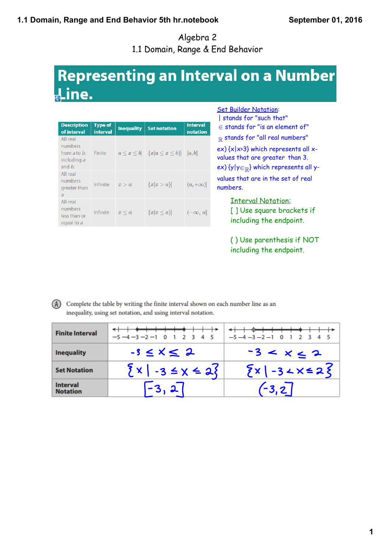# **1.1 Domain, Range and End Behavior 5th hr.notebook**

Algebra 2 1.1 Domain, Range & End Behavior

# **Representing an Interval on a Number** Line.

| <b>Description</b><br>of interval                                           | <b>Type of</b><br><b>interval</b> | <b>Inequality</b> | <b>Set notation</b>                                  | <b>Interval</b><br>notation |
|-----------------------------------------------------------------------------|-----------------------------------|-------------------|------------------------------------------------------|-----------------------------|
| All real<br>numbers<br>from <i>a</i> to <i>b</i> .<br>including a<br>and b. | Finite                            |                   | $a \leq x \leq b$ $\{x   a \leq x \leq b\}$ $[a, b]$ |                             |
| All real<br>numbers<br>greater than<br>$\overline{a}$                       | Infinite                          | x > a             | ${x x > a}$                                          | $(a, +\infty)$              |
| All real<br>numbers<br>less than or<br>equal to a                           | Infinite                          | $x \leq a$        | $\{x x\leq a\}$                                      | $(-\infty, a]$              |

Set Builder Notation:

| stands for "such that" <sup>∈</sup> stands for "is an element of"  $R$  stands for "all real numbers"  $ex)$  { $x|x>3$ } which represents all  $x$ values that are greater than 3. ex)  $\{y|y \in \mathbb{R}\}$  which represents all yvalues that are in the set of real numbers.

> Interval Notation: [ ] Use square brackets if including the endpoint.

( ) Use parenthesis if NOT including the endpoint.

#### (A) Complete the table by writing the finite interval shown on each number line as an inequality, using set notation, and using interval notation.

| <b>Finite Interval</b>             | $-5 - 4 - 3 - 2 - 1$ 0 1 2 3 4 5 | $-5 - 4 - 3 - 2 - 1$ 0 1 2 3 4 5 |
|------------------------------------|----------------------------------|----------------------------------|
| <b>Inequality</b>                  | $-3 \leq x \leq 2$               | $-3 < x < 2$                     |
| <b>Set Notation</b>                | $\{x \mid -3 \leq x \leq 2\}$    | $\{x \mid -3 \angle x \le 2\}$   |
| <b>Interval</b><br><b>Notation</b> |                                  | $\left(-3,2\right)$              |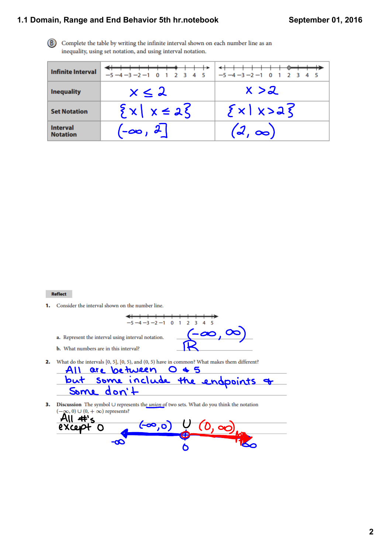# **1.1 Domain, Range and End Behavior 5th hr.notebook**

(B) Complete the table by writing the infinite interval shown on each number line as an inequality, using set notation, and using interval notation.

| <b>Infinite Interval</b>           | $-5 - 4 - 3 - 2 - 1$ 0 1 2 3 4 5 | $-5 - 4 - 3 - 2 - 1$ 0 1 2 3 4 5 |
|------------------------------------|----------------------------------|----------------------------------|
| <b>Inequality</b>                  | $x \leq 2$                       | x > z                            |
| <b>Set Notation</b>                | $\{x \mid x \in \mathcal{X}\}$   | $\{x \mid x > a\}$               |
| <b>Interval</b><br><b>Notation</b> | $\mathcal{L}$ -00, 2             | $(2, \infty)$                    |

Reflect

1. Consider the interval shown on the number line.



a. Represent the interval using interval notation.

**b.** What numbers are in this interval?

2. What do the intervals  $[0, 5]$ ,  $[0, 5)$ , and  $(0, 5)$  have in common? What makes them different?

|  |            | All are between U & 5 |                                   |  |
|--|------------|-----------------------|-----------------------------------|--|
|  |            |                       | but some include the endpoints of |  |
|  | Some don't |                       |                                   |  |

Discussion The symbol  $\cup$  represents the *union* of two sets. What do you think the notation 3.  $-\infty$ , 0)  $\cup$  (0,  $+\infty$ ) represents? -)

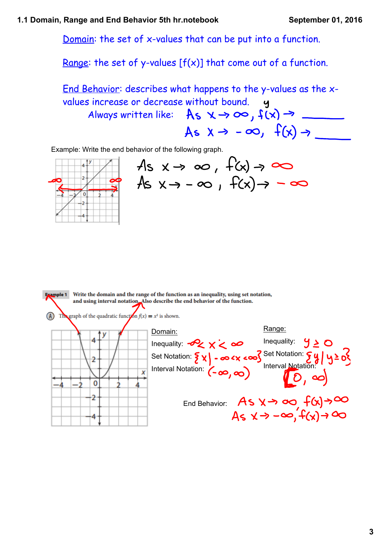Domain: the set of x-values that can be put into a function.

Range: the set of y-values  $[f(x)]$  that come out of a function.

End Behavior: describes what happens to the y-values as the xvalues increase or decrease without bound. Always written like:  $As \times \rightarrow \infty$ ,  $f(x) \rightarrow$  \_\_\_\_\_\_ As  $x \rightarrow -\infty$ ,  $f(x) \rightarrow$ 

Example: Write the end behavior of the following graph.



 $As x \rightarrow \infty$ ,  $f(x) \rightarrow \infty$ As  $x \rightarrow -\infty$ ,  $f(x) \rightarrow -\infty$ 

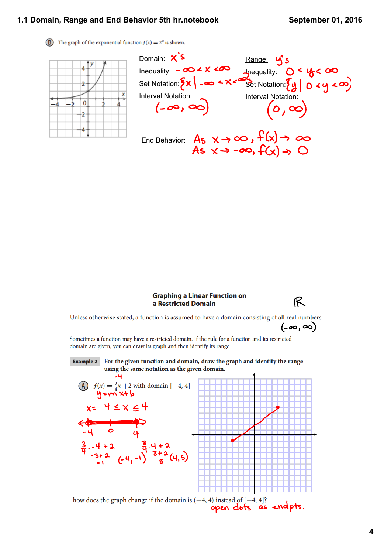#### **September 01, 2016**

#### **1.1 Domain, Range and End Behavior 5th hr.notebook**

(B) The graph of the exponential function  $f(x) = 2^x$  is shown.



Domain: X'S Range: Y's Inequality: **In**equality: Set Notation: Set Notation: Interval Notation:<br>  $(-\infty, \infty)$ Interval Notation:  $(o, \infty)$ End Behavior:  $A_5 \times \rightarrow \infty$ ,  $f(x) \rightarrow \infty$ <br> $A_5 \times \rightarrow -\infty$ ,  $f(x) \rightarrow \odot$ 

#### **Graphing a Linear Function on** a Restricted Domain



Unless otherwise stated, a function is assumed to have a domain consisting of all real numbers

 $(-\infty, \infty)$ 

Sometimes a function may have a restricted domain. If the rule for a function and its restricted domain are given, you can draw its graph and then identify its range.

**Example 2** For the given function and domain, draw the graph and identify the range using the same notation as the given domain.  $-4$ (A)  $f(x) = \frac{3}{4}x + 2$  with domain [-4, 4]<br> $y = \sqrt{2 \cdot 4}$ 

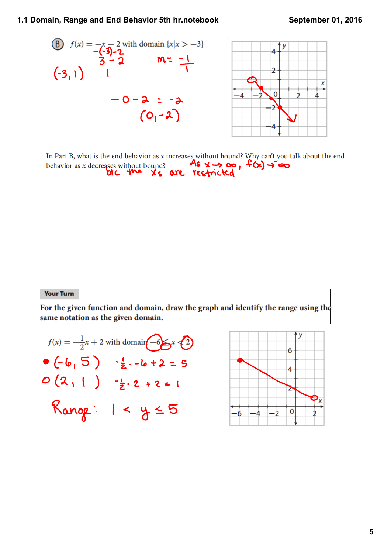## **1.1 Domain, Range and End Behavior 5th hr.notebook**



In Part B, what is the end behavior as  $x$  increases without bound? Why can't you talk about the end behavior as x decreases without bound: Why can't you'll<br>behavior as x decreases without bound?<br> $\frac{As}{x} \times \rightarrow \infty$ ,  $f(x) \rightarrow \infty$ 

### **Your Turn**

For the given function and domain, draw the graph and identify the range using the same notation as the given domain.

$$
f(x) = -\frac{1}{2}x + 2 \text{ with domain} \{-6\} x \{2\}
$$
  
•  $(-6, 5)$   $- \frac{1}{2} \cdot -6 + 2 = 5$   
0  $(2, 1)$   $- \frac{1}{2} \cdot 2 + 2 = 1$   
Range:  $1 < y \{5\}$ 

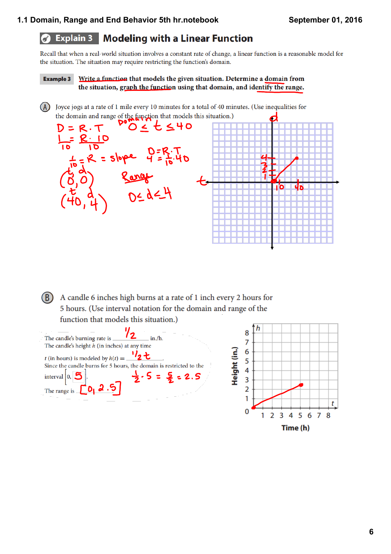#### **Modeling with a Linear Function Explain 3**  $\sigma$

Recall that when a real-world situation involves a constant rate of change, a linear function is a reasonable model for the situation. The situation may require restricting the function's domain.

Write a function that models the given situation. Determine a domain from **Example 3** the situation, graph the function using that domain, and identify the range.

(A) Joyce jogs at a rate of 1 mile every 10 minutes for a total of 40 minutes. (Use inequalities for the domain and range of the function that models this situation.)  $P^{\bullet}$   $Q \leq t \leq 40$  $D = R \cdot T$ Slope  $Q = R \cdot T$ <br>
Slope  $Q = R \cdot T$ <br>
Slope  $Q = R \cdot T$ ปก 10

(B) A candle 6 inches high burns at a rate of 1 inch every 2 hours for 5 hours. (Use interval notation for the domain and range of the function that models this situation.)

| 12<br>The candle's burning rate is<br>in./h.                        |  |
|---------------------------------------------------------------------|--|
| The candle's height $h$ (in inches) at any time                     |  |
| t (in hours) is modeled by $h(t) =$                                 |  |
|                                                                     |  |
| Since the candle burns for 5 hours, the domain is restricted to the |  |
|                                                                     |  |
| $5 = 5 = 2.5$<br>interval $ 0, 5 $                                  |  |
|                                                                     |  |
| 2.5<br>The range is                                                 |  |
|                                                                     |  |
|                                                                     |  |
|                                                                     |  |
|                                                                     |  |
|                                                                     |  |